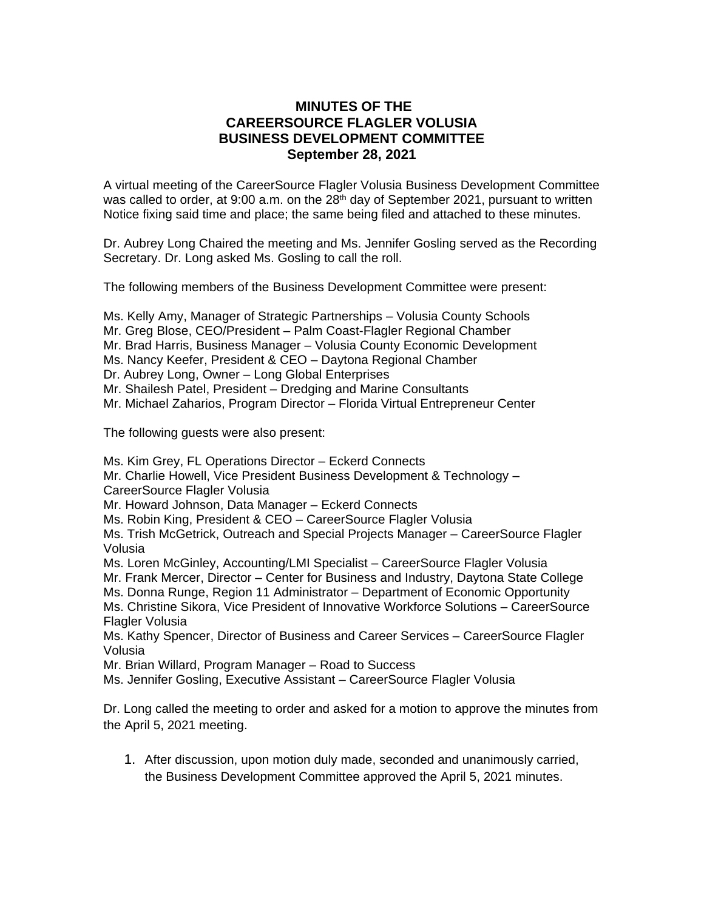## **MINUTES OF THE CAREERSOURCE FLAGLER VOLUSIA BUSINESS DEVELOPMENT COMMITTEE September 28, 2021**

A virtual meeting of the CareerSource Flagler Volusia Business Development Committee was called to order, at 9:00 a.m. on the  $28<sup>th</sup>$  day of September 2021, pursuant to written Notice fixing said time and place; the same being filed and attached to these minutes.

Dr. Aubrey Long Chaired the meeting and Ms. Jennifer Gosling served as the Recording Secretary. Dr. Long asked Ms. Gosling to call the roll.

The following members of the Business Development Committee were present:

- Ms. Kelly Amy, Manager of Strategic Partnerships Volusia County Schools
- Mr. Greg Blose, CEO/President Palm Coast-Flagler Regional Chamber
- Mr. Brad Harris, Business Manager Volusia County Economic Development
- Ms. Nancy Keefer, President & CEO Daytona Regional Chamber
- Dr. Aubrey Long, Owner Long Global Enterprises
- Mr. Shailesh Patel, President Dredging and Marine Consultants

Mr. Michael Zaharios, Program Director – Florida Virtual Entrepreneur Center

The following guests were also present:

Ms. Kim Grey, FL Operations Director – Eckerd Connects Mr. Charlie Howell, Vice President Business Development & Technology – CareerSource Flagler Volusia

Mr. Howard Johnson, Data Manager – Eckerd Connects

Ms. Robin King, President & CEO – CareerSource Flagler Volusia

Ms. Trish McGetrick, Outreach and Special Projects Manager – CareerSource Flagler Volusia

Ms. Loren McGinley, Accounting/LMI Specialist – CareerSource Flagler Volusia

Mr. Frank Mercer, Director – Center for Business and Industry, Daytona State College

Ms. Donna Runge, Region 11 Administrator – Department of Economic Opportunity Ms. Christine Sikora, Vice President of Innovative Workforce Solutions – CareerSource

Flagler Volusia

Ms. Kathy Spencer, Director of Business and Career Services – CareerSource Flagler Volusia

Mr. Brian Willard, Program Manager – Road to Success

Ms. Jennifer Gosling, Executive Assistant – CareerSource Flagler Volusia

Dr. Long called the meeting to order and asked for a motion to approve the minutes from the April 5, 2021 meeting.

1. After discussion, upon motion duly made, seconded and unanimously carried, the Business Development Committee approved the April 5, 2021 minutes.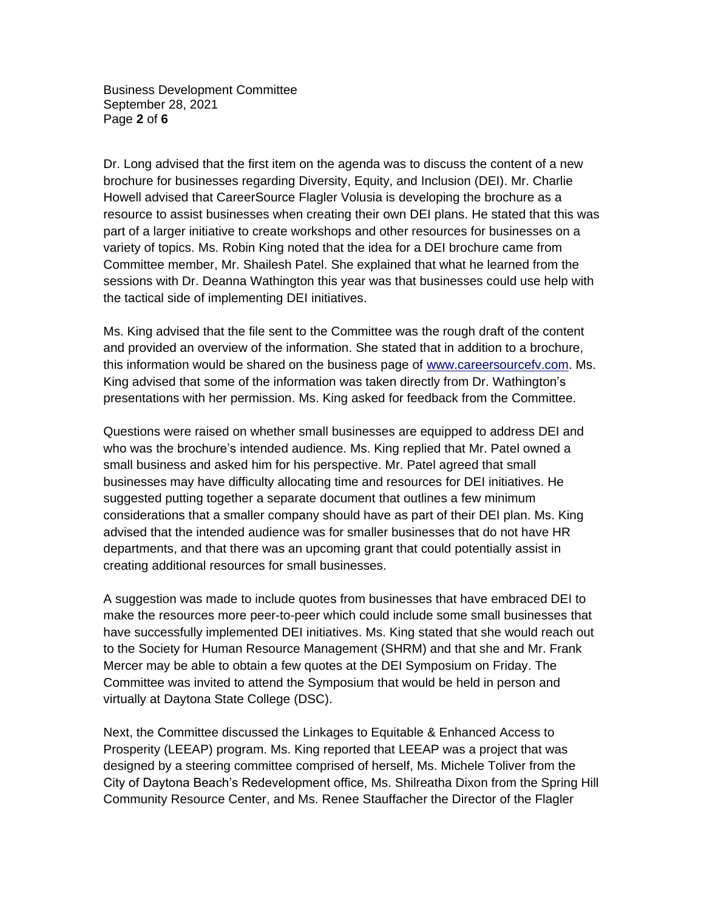Business Development Committee September 28, 2021 Page **2** of **6**

Dr. Long advised that the first item on the agenda was to discuss the content of a new brochure for businesses regarding Diversity, Equity, and Inclusion (DEI). Mr. Charlie Howell advised that CareerSource Flagler Volusia is developing the brochure as a resource to assist businesses when creating their own DEI plans. He stated that this was part of a larger initiative to create workshops and other resources for businesses on a variety of topics. Ms. Robin King noted that the idea for a DEI brochure came from Committee member, Mr. Shailesh Patel. She explained that what he learned from the sessions with Dr. Deanna Wathington this year was that businesses could use help with the tactical side of implementing DEI initiatives.

Ms. King advised that the file sent to the Committee was the rough draft of the content and provided an overview of the information. She stated that in addition to a brochure, this information would be shared on the business page of [www.careersourcefv.com.](http://www.careersourcefv.com/) Ms. King advised that some of the information was taken directly from Dr. Wathington's presentations with her permission. Ms. King asked for feedback from the Committee.

Questions were raised on whether small businesses are equipped to address DEI and who was the brochure's intended audience. Ms. King replied that Mr. Patel owned a small business and asked him for his perspective. Mr. Patel agreed that small businesses may have difficulty allocating time and resources for DEI initiatives. He suggested putting together a separate document that outlines a few minimum considerations that a smaller company should have as part of their DEI plan. Ms. King advised that the intended audience was for smaller businesses that do not have HR departments, and that there was an upcoming grant that could potentially assist in creating additional resources for small businesses.

A suggestion was made to include quotes from businesses that have embraced DEI to make the resources more peer-to-peer which could include some small businesses that have successfully implemented DEI initiatives. Ms. King stated that she would reach out to the Society for Human Resource Management (SHRM) and that she and Mr. Frank Mercer may be able to obtain a few quotes at the DEI Symposium on Friday. The Committee was invited to attend the Symposium that would be held in person and virtually at Daytona State College (DSC).

Next, the Committee discussed the Linkages to Equitable & Enhanced Access to Prosperity (LEEAP) program. Ms. King reported that LEEAP was a project that was designed by a steering committee comprised of herself, Ms. Michele Toliver from the City of Daytona Beach's Redevelopment office, Ms. Shilreatha Dixon from the Spring Hill Community Resource Center, and Ms. Renee Stauffacher the Director of the Flagler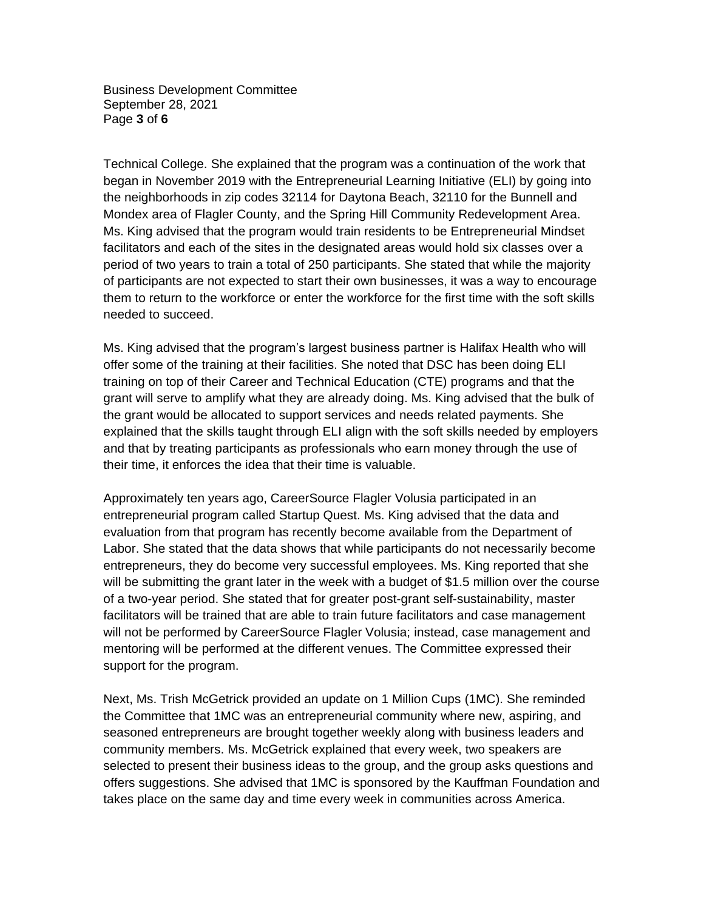Business Development Committee September 28, 2021 Page **3** of **6**

Technical College. She explained that the program was a continuation of the work that began in November 2019 with the Entrepreneurial Learning Initiative (ELI) by going into the neighborhoods in zip codes 32114 for Daytona Beach, 32110 for the Bunnell and Mondex area of Flagler County, and the Spring Hill Community Redevelopment Area. Ms. King advised that the program would train residents to be Entrepreneurial Mindset facilitators and each of the sites in the designated areas would hold six classes over a period of two years to train a total of 250 participants. She stated that while the majority of participants are not expected to start their own businesses, it was a way to encourage them to return to the workforce or enter the workforce for the first time with the soft skills needed to succeed.

Ms. King advised that the program's largest business partner is Halifax Health who will offer some of the training at their facilities. She noted that DSC has been doing ELI training on top of their Career and Technical Education (CTE) programs and that the grant will serve to amplify what they are already doing. Ms. King advised that the bulk of the grant would be allocated to support services and needs related payments. She explained that the skills taught through ELI align with the soft skills needed by employers and that by treating participants as professionals who earn money through the use of their time, it enforces the idea that their time is valuable.

Approximately ten years ago, CareerSource Flagler Volusia participated in an entrepreneurial program called Startup Quest. Ms. King advised that the data and evaluation from that program has recently become available from the Department of Labor. She stated that the data shows that while participants do not necessarily become entrepreneurs, they do become very successful employees. Ms. King reported that she will be submitting the grant later in the week with a budget of \$1.5 million over the course of a two-year period. She stated that for greater post-grant self-sustainability, master facilitators will be trained that are able to train future facilitators and case management will not be performed by CareerSource Flagler Volusia; instead, case management and mentoring will be performed at the different venues. The Committee expressed their support for the program.

Next, Ms. Trish McGetrick provided an update on 1 Million Cups (1MC). She reminded the Committee that 1MC was an entrepreneurial community where new, aspiring, and seasoned entrepreneurs are brought together weekly along with business leaders and community members. Ms. McGetrick explained that every week, two speakers are selected to present their business ideas to the group, and the group asks questions and offers suggestions. She advised that 1MC is sponsored by the Kauffman Foundation and takes place on the same day and time every week in communities across America.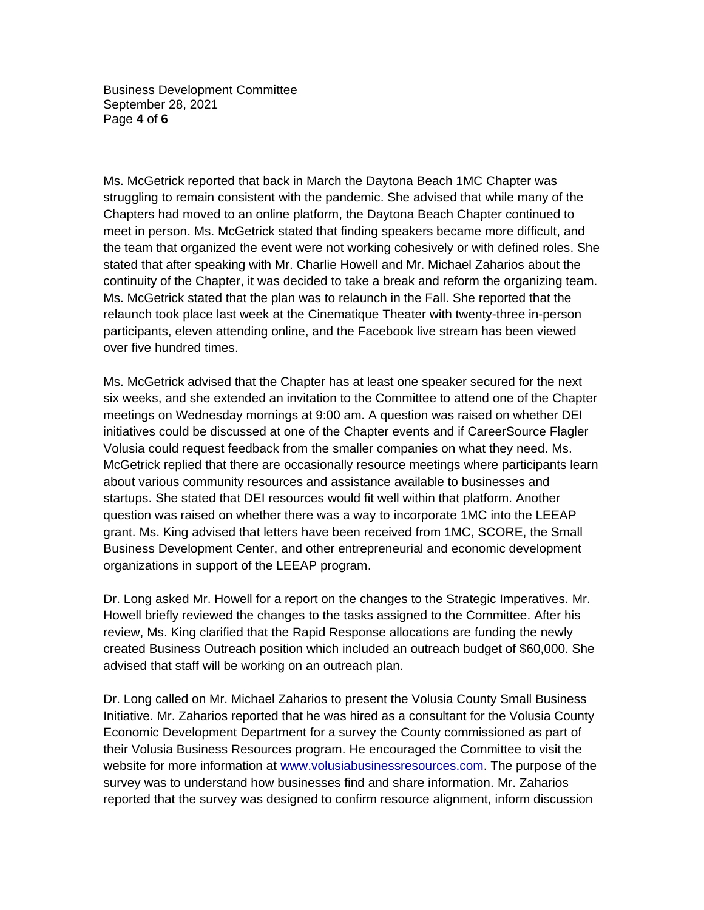Business Development Committee September 28, 2021 Page **4** of **6**

Ms. McGetrick reported that back in March the Daytona Beach 1MC Chapter was struggling to remain consistent with the pandemic. She advised that while many of the Chapters had moved to an online platform, the Daytona Beach Chapter continued to meet in person. Ms. McGetrick stated that finding speakers became more difficult, and the team that organized the event were not working cohesively or with defined roles. She stated that after speaking with Mr. Charlie Howell and Mr. Michael Zaharios about the continuity of the Chapter, it was decided to take a break and reform the organizing team. Ms. McGetrick stated that the plan was to relaunch in the Fall. She reported that the relaunch took place last week at the Cinematique Theater with twenty-three in-person participants, eleven attending online, and the Facebook live stream has been viewed over five hundred times.

Ms. McGetrick advised that the Chapter has at least one speaker secured for the next six weeks, and she extended an invitation to the Committee to attend one of the Chapter meetings on Wednesday mornings at 9:00 am. A question was raised on whether DEI initiatives could be discussed at one of the Chapter events and if CareerSource Flagler Volusia could request feedback from the smaller companies on what they need. Ms. McGetrick replied that there are occasionally resource meetings where participants learn about various community resources and assistance available to businesses and startups. She stated that DEI resources would fit well within that platform. Another question was raised on whether there was a way to incorporate 1MC into the LEEAP grant. Ms. King advised that letters have been received from 1MC, SCORE, the Small Business Development Center, and other entrepreneurial and economic development organizations in support of the LEEAP program.

Dr. Long asked Mr. Howell for a report on the changes to the Strategic Imperatives. Mr. Howell briefly reviewed the changes to the tasks assigned to the Committee. After his review, Ms. King clarified that the Rapid Response allocations are funding the newly created Business Outreach position which included an outreach budget of \$60,000. She advised that staff will be working on an outreach plan.

Dr. Long called on Mr. Michael Zaharios to present the Volusia County Small Business Initiative. Mr. Zaharios reported that he was hired as a consultant for the Volusia County Economic Development Department for a survey the County commissioned as part of their Volusia Business Resources program. He encouraged the Committee to visit the website for more information at [www.volusiabusinessresources.com.](http://www.volusiabusinessresources.com/) The purpose of the survey was to understand how businesses find and share information. Mr. Zaharios reported that the survey was designed to confirm resource alignment, inform discussion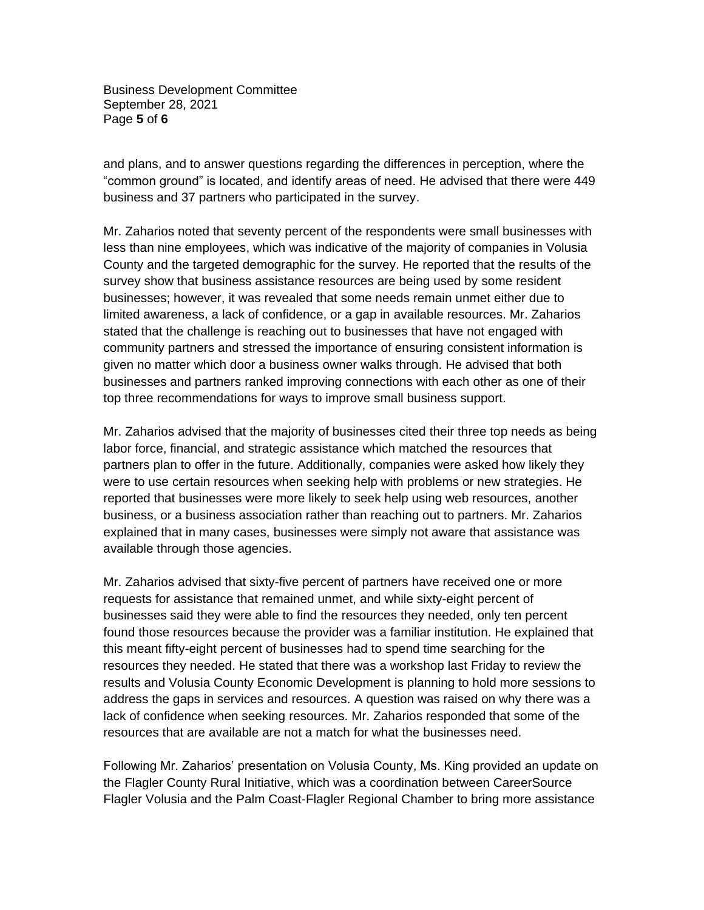Business Development Committee September 28, 2021 Page **5** of **6**

and plans, and to answer questions regarding the differences in perception, where the "common ground" is located, and identify areas of need. He advised that there were 449 business and 37 partners who participated in the survey.

Mr. Zaharios noted that seventy percent of the respondents were small businesses with less than nine employees, which was indicative of the majority of companies in Volusia County and the targeted demographic for the survey. He reported that the results of the survey show that business assistance resources are being used by some resident businesses; however, it was revealed that some needs remain unmet either due to limited awareness, a lack of confidence, or a gap in available resources. Mr. Zaharios stated that the challenge is reaching out to businesses that have not engaged with community partners and stressed the importance of ensuring consistent information is given no matter which door a business owner walks through. He advised that both businesses and partners ranked improving connections with each other as one of their top three recommendations for ways to improve small business support.

Mr. Zaharios advised that the majority of businesses cited their three top needs as being labor force, financial, and strategic assistance which matched the resources that partners plan to offer in the future. Additionally, companies were asked how likely they were to use certain resources when seeking help with problems or new strategies. He reported that businesses were more likely to seek help using web resources, another business, or a business association rather than reaching out to partners. Mr. Zaharios explained that in many cases, businesses were simply not aware that assistance was available through those agencies.

Mr. Zaharios advised that sixty-five percent of partners have received one or more requests for assistance that remained unmet, and while sixty-eight percent of businesses said they were able to find the resources they needed, only ten percent found those resources because the provider was a familiar institution. He explained that this meant fifty-eight percent of businesses had to spend time searching for the resources they needed. He stated that there was a workshop last Friday to review the results and Volusia County Economic Development is planning to hold more sessions to address the gaps in services and resources. A question was raised on why there was a lack of confidence when seeking resources. Mr. Zaharios responded that some of the resources that are available are not a match for what the businesses need.

Following Mr. Zaharios' presentation on Volusia County, Ms. King provided an update on the Flagler County Rural Initiative, which was a coordination between CareerSource Flagler Volusia and the Palm Coast-Flagler Regional Chamber to bring more assistance